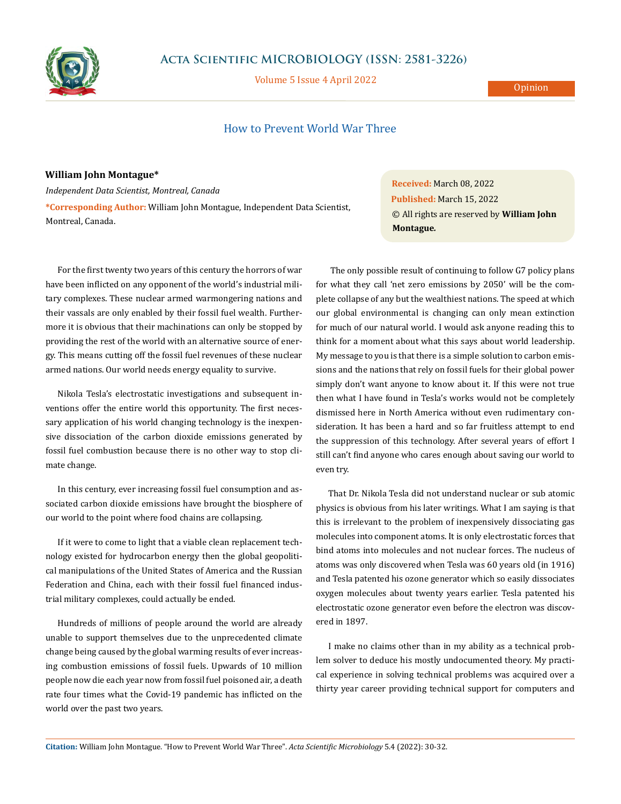

## **Acta Scientific MICROBIOLOGY (ISSN: 2581-3226)**

Volume 5 Issue 4 April 2022

**Opinion** 

## How to Prevent World War Three

## **William John Montague\***

*Independent Data Scientist, Montreal, Canada*

**\*Corresponding Author:** William John Montague, Independent Data Scientist, Montreal, Canada.

For the first twenty two years of this century the horrors of war have been inflicted on any opponent of the world's industrial military complexes. These nuclear armed warmongering nations and their vassals are only enabled by their fossil fuel wealth. Furthermore it is obvious that their machinations can only be stopped by providing the rest of the world with an alternative source of energy. This means cutting off the fossil fuel revenues of these nuclear armed nations. Our world needs energy equality to survive.

Nikola Tesla's electrostatic investigations and subsequent inventions offer the entire world this opportunity. The first necessary application of his world changing technology is the inexpensive dissociation of the carbon dioxide emissions generated by fossil fuel combustion because there is no other way to stop climate change.

In this century, ever increasing fossil fuel consumption and associated carbon dioxide emissions have brought the biosphere of our world to the point where food chains are collapsing.

If it were to come to light that a viable clean replacement technology existed for hydrocarbon energy then the global geopolitical manipulations of the United States of America and the Russian Federation and China, each with their fossil fuel financed industrial military complexes, could actually be ended.

Hundreds of millions of people around the world are already unable to support themselves due to the unprecedented climate change being caused by the global warming results of ever increasing combustion emissions of fossil fuels. Upwards of 10 million people now die each year now from fossil fuel poisoned air, a death rate four times what the Covid-19 pandemic has inflicted on the world over the past two years.

**Received:** March 08, 2022 **Published:** March 15, 2022 © All rights are reserved by **William John Montague***.*

 The only possible result of continuing to follow G7 policy plans for what they call 'net zero emissions by 2050' will be the complete collapse of any but the wealthiest nations. The speed at which our global environmental is changing can only mean extinction for much of our natural world. I would ask anyone reading this to think for a moment about what this says about world leadership. My message to you is that there is a simple solution to carbon emissions and the nations that rely on fossil fuels for their global power simply don't want anyone to know about it. If this were not true then what I have found in Tesla's works would not be completely dismissed here in North America without even rudimentary consideration. It has been a hard and so far fruitless attempt to end the suppression of this technology. After several years of effort I still can't find anyone who cares enough about saving our world to even try.

That Dr. Nikola Tesla did not understand nuclear or sub atomic physics is obvious from his later writings. What I am saying is that this is irrelevant to the problem of inexpensively dissociating gas molecules into component atoms. It is only electrostatic forces that bind atoms into molecules and not nuclear forces. The nucleus of atoms was only discovered when Tesla was 60 years old (in 1916) and Tesla patented his ozone generator which so easily dissociates oxygen molecules about twenty years earlier. Tesla patented his electrostatic ozone generator even before the electron was discovered in 1897.

I make no claims other than in my ability as a technical problem solver to deduce his mostly undocumented theory. My practical experience in solving technical problems was acquired over a thirty year career providing technical support for computers and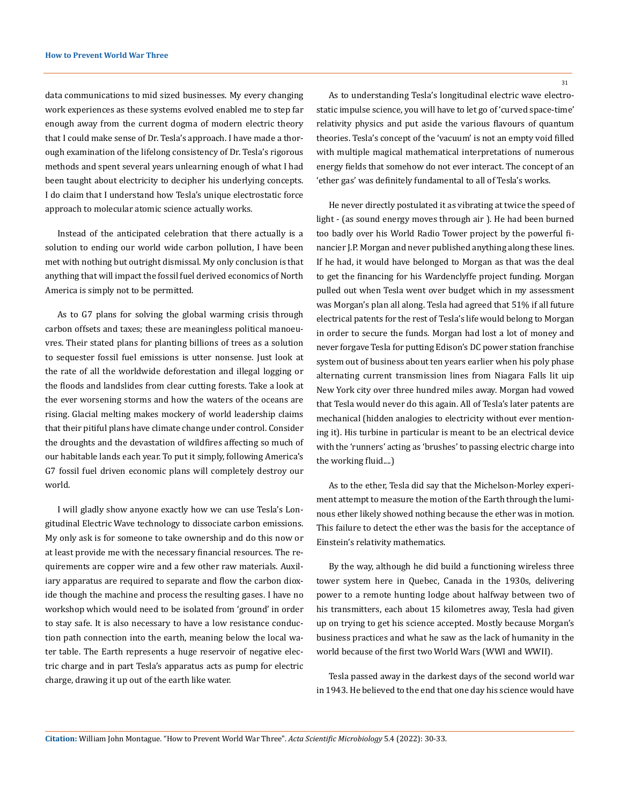data communications to mid sized businesses. My every changing work experiences as these systems evolved enabled me to step far enough away from the current dogma of modern electric theory that I could make sense of Dr. Tesla's approach. I have made a thorough examination of the lifelong consistency of Dr. Tesla's rigorous methods and spent several years unlearning enough of what I had been taught about electricity to decipher his underlying concepts. I do claim that I understand how Tesla's unique electrostatic force approach to molecular atomic science actually works.

Instead of the anticipated celebration that there actually is a solution to ending our world wide carbon pollution, I have been met with nothing but outright dismissal. My only conclusion is that anything that will impact the fossil fuel derived economics of North America is simply not to be permitted.

As to G7 plans for solving the global warming crisis through carbon offsets and taxes; these are meaningless political manoeuvres. Their stated plans for planting billions of trees as a solution to sequester fossil fuel emissions is utter nonsense. Just look at the rate of all the worldwide deforestation and illegal logging or the floods and landslides from clear cutting forests. Take a look at the ever worsening storms and how the waters of the oceans are rising. Glacial melting makes mockery of world leadership claims that their pitiful plans have climate change under control. Consider the droughts and the devastation of wildfires affecting so much of our habitable lands each year. To put it simply, following America's G7 fossil fuel driven economic plans will completely destroy our world.

I will gladly show anyone exactly how we can use Tesla's Longitudinal Electric Wave technology to dissociate carbon emissions. My only ask is for someone to take ownership and do this now or at least provide me with the necessary financial resources. The requirements are copper wire and a few other raw materials. Auxiliary apparatus are required to separate and flow the carbon dioxide though the machine and process the resulting gases. I have no workshop which would need to be isolated from 'ground' in order to stay safe. It is also necessary to have a low resistance conduction path connection into the earth, meaning below the local water table. The Earth represents a huge reservoir of negative electric charge and in part Tesla's apparatus acts as pump for electric charge, drawing it up out of the earth like water.

As to understanding Tesla's longitudinal electric wave electrostatic impulse science, you will have to let go of 'curved space-time' relativity physics and put aside the various flavours of quantum theories. Tesla's concept of the 'vacuum' is not an empty void filled with multiple magical mathematical interpretations of numerous energy fields that somehow do not ever interact. The concept of an 'ether gas' was definitely fundamental to all of Tesla's works.

He never directly postulated it as vibrating at twice the speed of light - (as sound energy moves through air ). He had been burned too badly over his World Radio Tower project by the powerful financier J.P. Morgan and never published anything along these lines. If he had, it would have belonged to Morgan as that was the deal to get the financing for his Wardenclyffe project funding. Morgan pulled out when Tesla went over budget which in my assessment was Morgan's plan all along. Tesla had agreed that 51% if all future electrical patents for the rest of Tesla's life would belong to Morgan in order to secure the funds. Morgan had lost a lot of money and never forgave Tesla for putting Edison's DC power station franchise system out of business about ten years earlier when his poly phase alternating current transmission lines from Niagara Falls lit uip New York city over three hundred miles away. Morgan had vowed that Tesla would never do this again. All of Tesla's later patents are mechanical (hidden analogies to electricity without ever mentioning it). His turbine in particular is meant to be an electrical device with the 'runners' acting as 'brushes' to passing electric charge into the working fluid....)

As to the ether, Tesla did say that the Michelson-Morley experiment attempt to measure the motion of the Earth through the luminous ether likely showed nothing because the ether was in motion. This failure to detect the ether was the basis for the acceptance of Einstein's relativity mathematics.

By the way, although he did build a functioning wireless three tower system here in Quebec, Canada in the 1930s, delivering power to a remote hunting lodge about halfway between two of his transmitters, each about 15 kilometres away, Tesla had given up on trying to get his science accepted. Mostly because Morgan's business practices and what he saw as the lack of humanity in the world because of the first two World Wars (WWI and WWII).

Tesla passed away in the darkest days of the second world war in 1943. He believed to the end that one day his science would have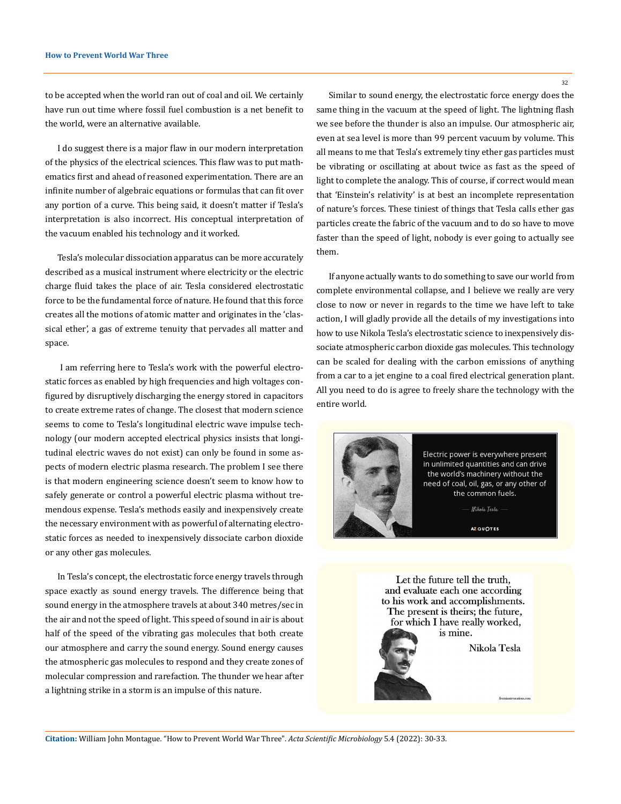to be accepted when the world ran out of coal and oil. We certainly have run out time where fossil fuel combustion is a net benefit to the world, were an alternative available.

I do suggest there is a major flaw in our modern interpretation of the physics of the electrical sciences. This flaw was to put mathematics first and ahead of reasoned experimentation. There are an infinite number of algebraic equations or formulas that can fit over any portion of a curve. This being said, it doesn't matter if Tesla's interpretation is also incorrect. His conceptual interpretation of the vacuum enabled his technology and it worked.

Tesla's molecular dissociation apparatus can be more accurately described as a musical instrument where electricity or the electric charge fluid takes the place of air. Tesla considered electrostatic force to be the fundamental force of nature. He found that this force creates all the motions of atomic matter and originates in the 'classical ether', a gas of extreme tenuity that pervades all matter and space.

 I am referring here to Tesla's work with the powerful electrostatic forces as enabled by high frequencies and high voltages configured by disruptively discharging the energy stored in capacitors to create extreme rates of change. The closest that modern science seems to come to Tesla's longitudinal electric wave impulse technology (our modern accepted electrical physics insists that longitudinal electric waves do not exist) can only be found in some aspects of modern electric plasma research. The problem I see there is that modern engineering science doesn't seem to know how to safely generate or control a powerful electric plasma without tremendous expense. Tesla's methods easily and inexpensively create the necessary environment with as powerful of alternating electrostatic forces as needed to inexpensively dissociate carbon dioxide or any other gas molecules.

In Tesla's concept, the electrostatic force energy travels through space exactly as sound energy travels. The difference being that sound energy in the atmosphere travels at about 340 metres/sec in the air and not the speed of light. This speed of sound in air is about half of the speed of the vibrating gas molecules that both create our atmosphere and carry the sound energy. Sound energy causes the atmospheric gas molecules to respond and they create zones of molecular compression and rarefaction. The thunder we hear after a lightning strike in a storm is an impulse of this nature.

32

Similar to sound energy, the electrostatic force energy does the same thing in the vacuum at the speed of light. The lightning flash we see before the thunder is also an impulse. Our atmospheric air, even at sea level is more than 99 percent vacuum by volume. This all means to me that Tesla's extremely tiny ether gas particles must be vibrating or oscillating at about twice as fast as the speed of light to complete the analogy. This of course, if correct would mean that 'Einstein's relativity' is at best an incomplete representation of nature's forces. These tiniest of things that Tesla calls ether gas particles create the fabric of the vacuum and to do so have to move faster than the speed of light, nobody is ever going to actually see them.

If anyone actually wants to do something to save our world from complete environmental collapse, and I believe we really are very close to now or never in regards to the time we have left to take action, I will gladly provide all the details of my investigations into how to use Nikola Tesla's electrostatic science to inexpensively dissociate atmospheric carbon dioxide gas molecules. This technology can be scaled for dealing with the carbon emissions of anything from a car to a jet engine to a coal fired electrical generation plant. All you need to do is agree to freely share the technology with the entire world.



Electric power is everywhere present in unlimited quantities and can drive the world's machinery without the need of coal, oil, gas, or any other of the common fuels.

Nikola Tesla -

AZ QUOTES

Let the future tell the truth, and evaluate each one according to his work and accomplishments. The present is theirs; the future, for which I have really worked, is mine.

Nikola Tesla

**Citation:** William John Montague*.* "How to Prevent World War Three". *Acta Scientific Microbiology* 5.4 (2022): 30-33.